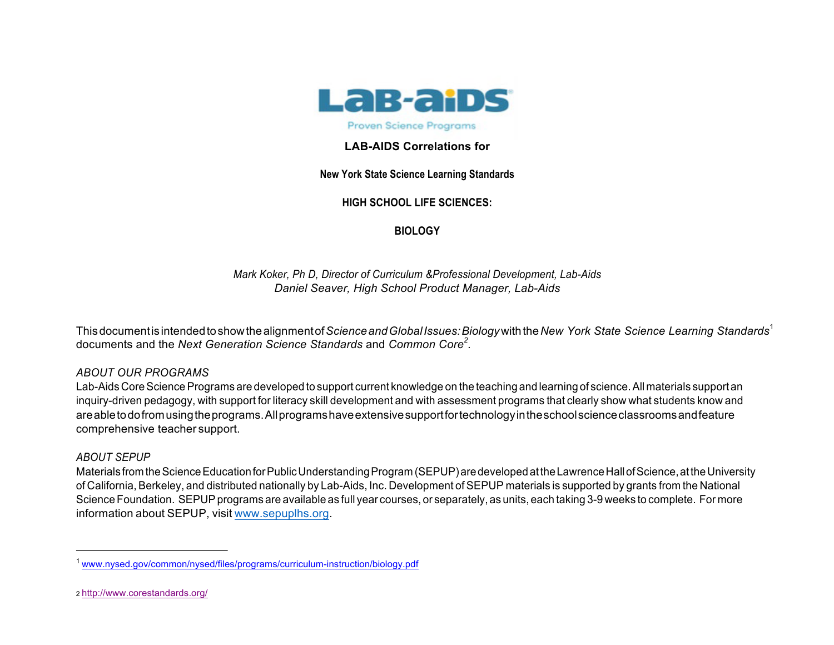

## **LAB-AIDS Correlations for**

## **New York State Science Learning Standards**

# **HIGH SCHOOL LIFE SCIENCES:**

**BIOLOGY**

*Mark Koker, Ph D, Director of Curriculum &Professional Development, Lab-Aids Daniel Seaver, High School Product Manager, Lab-Aids*

Thisdocumentis intendedtoshowthealignmentof*ScienceandGlobalIssues:Biology*withthe*New York State Science Learning Standards*<sup>1</sup> documents and the *Next Generation Science Standards* and *Common Core<sup>2</sup> .*

## *ABOUT OUR PROGRAMS*

Lab-Aids Core Science Programs are developed to support current knowledge on the teaching and learning of science. All materials support an inquiry-driven pedagogy, with support for literacy skill development and with assessment programs that clearly show what students know and areabletodofromusingtheprograms.Allprogramshaveextensivesupportfortechnologyintheschoolscienceclassroomsandfeature comprehensive teacher support.

#### *ABOUT SEPUP*

Materials from the Science Education for Public Understanding Program (SEPUP) are developed at the Lawrence Hall of Science, at the University of California, Berkeley, and distributed nationally by Lab-Aids, Inc. Development of SEPUP materials is supported by grants from the National Science Foundation. SEPUP programs are available as full year courses, or separately, as units, each taking 3-9 weeks to complete. For more information about SEPUP, visit www.sepuplhs.org.

<sup>&</sup>lt;sup>1</sup> www.nysed.gov/common/nysed/files/programs/curriculum-instruction/biology.pdf

<sup>2</sup> http://www.corestandards.org/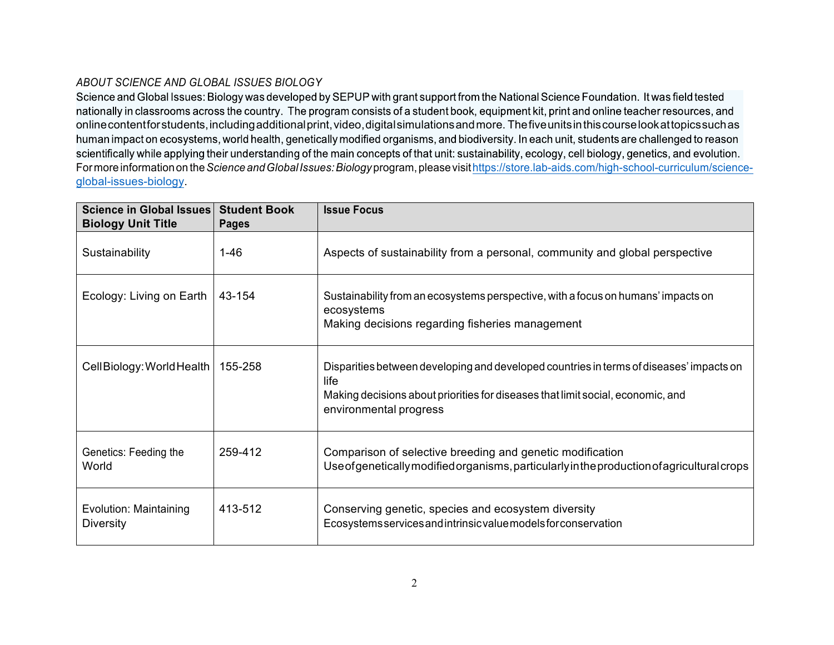### *ABOUT SCIENCE AND GLOBAL ISSUES BIOLOGY*

Science and Global Issues: Biology was developed by SEPUP with grant support from the National Science Foundation. It was field tested nationally in classrooms across the country. The program consists of a student book, equipment kit, print and online teacher resources, and online contentfor students, including additional print, video, digital simulations and more. The five units in this course look at topics such as human impact on ecosystems, world health, genetically modified organisms, and biodiversity. In each unit, students are challenged to reason scientifically while applying their understanding of the main concepts of that unit: sustainability, ecology, cell biology, genetics, and evolution. Formoreinformationon the*ScienceandGlobalIssues:Biology*program,pleasevisithttps://store.lab-aids.com/high-school-curriculum/scienceglobal-issues-biology.

| <b>Science in Global Issues</b><br><b>Biology Unit Title</b> | <b>Student Book</b><br><b>Pages</b> | <b>Issue Focus</b>                                                                                                                                                                                           |
|--------------------------------------------------------------|-------------------------------------|--------------------------------------------------------------------------------------------------------------------------------------------------------------------------------------------------------------|
| Sustainability                                               | $1 - 46$                            | Aspects of sustainability from a personal, community and global perspective                                                                                                                                  |
| Ecology: Living on Earth                                     | 43-154                              | Sustainability from an ecosystems perspective, with a focus on humans' impacts on<br>ecosystems<br>Making decisions regarding fisheries management                                                           |
| Cell Biology: World Health                                   | 155-258                             | Disparities between developing and developed countries in terms of diseases' impacts on<br>life<br>Making decisions about priorities for diseases that limit social, economic, and<br>environmental progress |
| Genetics: Feeding the<br>World                               | 259-412                             | Comparison of selective breeding and genetic modification<br>Use of genetically modified organisms, particularly in the production of agricultural crops                                                     |
| Evolution: Maintaining<br><b>Diversity</b>                   | 413-512                             | Conserving genetic, species and ecosystem diversity<br>Ecosystems services and intrinsic value models for conservation                                                                                       |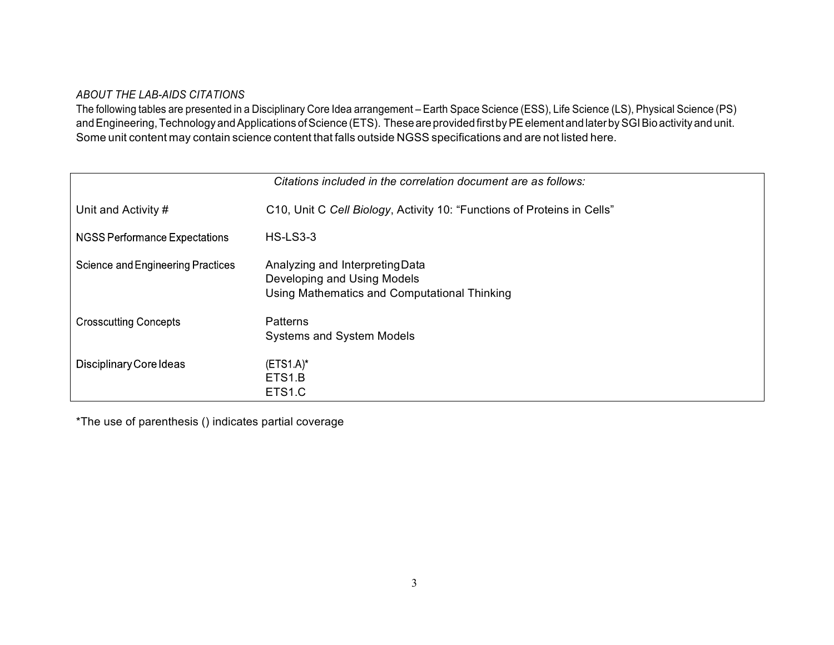#### *ABOUT THE LAB-AIDS CITATIONS*

The following tables are presented in a Disciplinary Core Idea arrangement – Earth Space Science (ESS), Life Science (LS), Physical Science (PS) and Engineering, Technology and Applications of Science (ETS). These are provided first by PE element and later by SGI Bio activity and unit. Some unit content may contain science content that falls outside NGSS specifications and are not listed here.

| Citations included in the correlation document are as follows: |                                                                                                                |  |  |  |  |
|----------------------------------------------------------------|----------------------------------------------------------------------------------------------------------------|--|--|--|--|
| Unit and Activity #                                            | C10, Unit C Cell Biology, Activity 10: "Functions of Proteins in Cells"                                        |  |  |  |  |
| NGSS Performance Expectations                                  | <b>HS-LS3-3</b>                                                                                                |  |  |  |  |
| Science and Engineering Practices                              | Analyzing and Interpreting Data<br>Developing and Using Models<br>Using Mathematics and Computational Thinking |  |  |  |  |
| <b>Crosscutting Concepts</b>                                   | <b>Patterns</b><br><b>Systems and System Models</b>                                                            |  |  |  |  |
| Disciplinary Core Ideas                                        | $(ETS1.A)^*$<br>ETS <sub>1.B</sub><br>ETS <sub>1.C</sub>                                                       |  |  |  |  |

\*The use of parenthesis () indicates partial coverage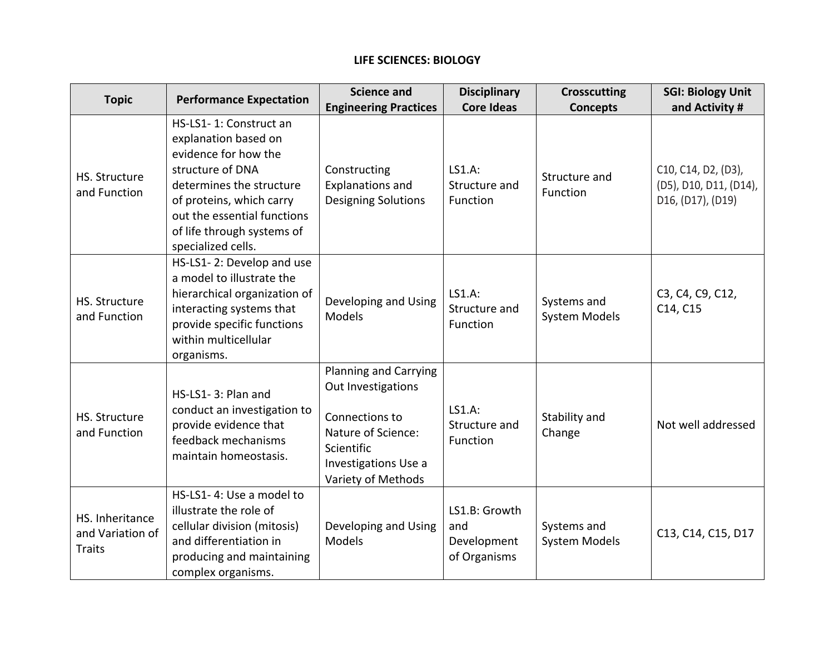# **LIFE SCIENCES: BIOLOGY**

| <b>Topic</b>                                         | <b>Performance Expectation</b>                                                                                                                                                                                                        | <b>Science and</b>                                                                                                                                     | <b>Disciplinary</b>                                 | <b>Crosscutting</b>                 | <b>SGI: Biology Unit</b>                                           |
|------------------------------------------------------|---------------------------------------------------------------------------------------------------------------------------------------------------------------------------------------------------------------------------------------|--------------------------------------------------------------------------------------------------------------------------------------------------------|-----------------------------------------------------|-------------------------------------|--------------------------------------------------------------------|
|                                                      |                                                                                                                                                                                                                                       | <b>Engineering Practices</b>                                                                                                                           | <b>Core Ideas</b>                                   | <b>Concepts</b>                     | and Activity #                                                     |
| <b>HS. Structure</b><br>and Function                 | HS-LS1-1: Construct an<br>explanation based on<br>evidence for how the<br>structure of DNA<br>determines the structure<br>of proteins, which carry<br>out the essential functions<br>of life through systems of<br>specialized cells. | Constructing<br><b>Explanations and</b><br><b>Designing Solutions</b>                                                                                  | LS1.A:<br>Structure and<br>Function                 | Structure and<br>Function           | C10, C14, D2, (D3),<br>(D5), D10, D11, (D14),<br>D16, (D17), (D19) |
| HS. Structure<br>and Function                        | HS-LS1-2: Develop and use<br>a model to illustrate the<br>hierarchical organization of<br>interacting systems that<br>provide specific functions<br>within multicellular<br>organisms.                                                | Developing and Using<br><b>Models</b>                                                                                                                  | LS1.A:<br>Structure and<br>Function                 | Systems and<br><b>System Models</b> | C3, C4, C9, C12,<br>C14, C15                                       |
| HS. Structure<br>and Function                        | HS-LS1-3: Plan and<br>conduct an investigation to<br>provide evidence that<br>feedback mechanisms<br>maintain homeostasis.                                                                                                            | <b>Planning and Carrying</b><br>Out Investigations<br>Connections to<br>Nature of Science:<br>Scientific<br>Investigations Use a<br>Variety of Methods | <b>LS1.A:</b><br>Structure and<br>Function          | Stability and<br>Change             | Not well addressed                                                 |
| HS. Inheritance<br>and Variation of<br><b>Traits</b> | HS-LS1-4: Use a model to<br>illustrate the role of<br>cellular division (mitosis)<br>and differentiation in<br>producing and maintaining<br>complex organisms.                                                                        | Developing and Using<br>Models                                                                                                                         | LS1.B: Growth<br>and<br>Development<br>of Organisms | Systems and<br><b>System Models</b> | C13, C14, C15, D17                                                 |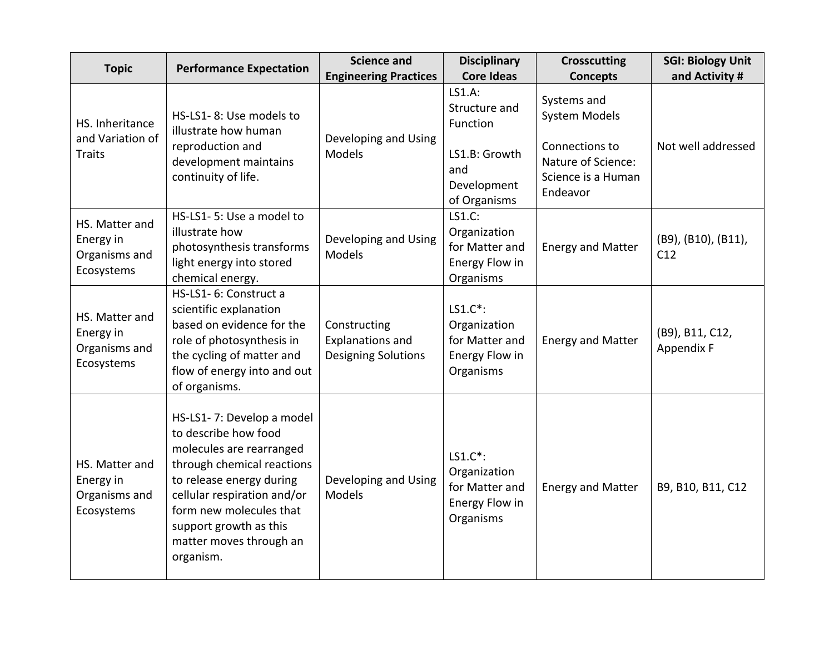| <b>Topic</b>                                               | <b>Performance Expectation</b>                                                                                                                                                                                                                                      | <b>Science and</b>                                                    | <b>Disciplinary</b>                                                                        | <b>Crosscutting</b>                                                                                           | <b>SGI: Biology Unit</b>      |
|------------------------------------------------------------|---------------------------------------------------------------------------------------------------------------------------------------------------------------------------------------------------------------------------------------------------------------------|-----------------------------------------------------------------------|--------------------------------------------------------------------------------------------|---------------------------------------------------------------------------------------------------------------|-------------------------------|
|                                                            |                                                                                                                                                                                                                                                                     | <b>Engineering Practices</b>                                          | <b>Core Ideas</b>                                                                          | <b>Concepts</b>                                                                                               | and Activity #                |
| HS. Inheritance<br>and Variation of<br>Traits              | HS-LS1-8: Use models to<br>illustrate how human<br>reproduction and<br>development maintains<br>continuity of life.                                                                                                                                                 | Developing and Using<br>Models                                        | LS1.A:<br>Structure and<br>Function<br>LS1.B: Growth<br>and<br>Development<br>of Organisms | Systems and<br><b>System Models</b><br>Connections to<br>Nature of Science:<br>Science is a Human<br>Endeavor | Not well addressed            |
| HS. Matter and<br>Energy in<br>Organisms and<br>Ecosystems | HS-LS1-5: Use a model to<br>illustrate how<br>photosynthesis transforms<br>light energy into stored<br>chemical energy.                                                                                                                                             | Developing and Using<br>Models                                        | LS1.C:<br>Organization<br>for Matter and<br>Energy Flow in<br>Organisms                    | <b>Energy and Matter</b>                                                                                      | (B9), (B10), (B11),<br>C12    |
| HS. Matter and<br>Energy in<br>Organisms and<br>Ecosystems | HS-LS1- 6: Construct a<br>scientific explanation<br>based on evidence for the<br>role of photosynthesis in<br>the cycling of matter and<br>flow of energy into and out<br>of organisms.                                                                             | Constructing<br><b>Explanations and</b><br><b>Designing Solutions</b> | LS1.C*:<br>Organization<br>for Matter and<br>Energy Flow in<br>Organisms                   | <b>Energy and Matter</b>                                                                                      | (B9), B11, C12,<br>Appendix F |
| HS. Matter and<br>Energy in<br>Organisms and<br>Ecosystems | HS-LS1-7: Develop a model<br>to describe how food<br>molecules are rearranged<br>through chemical reactions<br>to release energy during<br>cellular respiration and/or<br>form new molecules that<br>support growth as this<br>matter moves through an<br>organism. | Developing and Using<br>Models                                        | $LS1.C^*$ :<br>Organization<br>for Matter and<br>Energy Flow in<br>Organisms               | <b>Energy and Matter</b>                                                                                      | B9, B10, B11, C12             |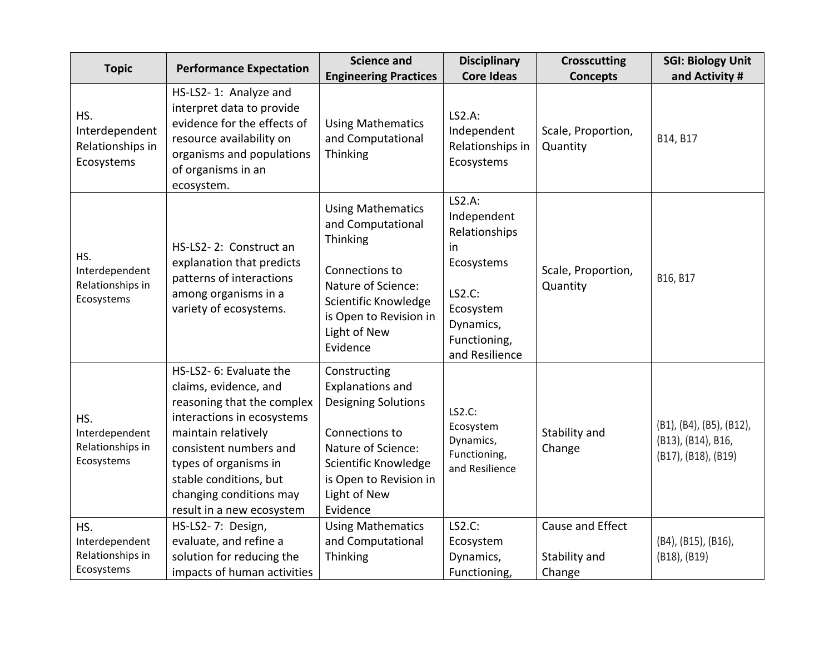| <b>Topic</b>                                            | <b>Performance Expectation</b>                                                                                                                                                                                                                                           | <b>Science and</b>                                                                                                                                                                          | <b>Disciplinary</b>                                                                                                              | <b>Crosscutting</b>                         | <b>SGI: Biology Unit</b>                                              |
|---------------------------------------------------------|--------------------------------------------------------------------------------------------------------------------------------------------------------------------------------------------------------------------------------------------------------------------------|---------------------------------------------------------------------------------------------------------------------------------------------------------------------------------------------|----------------------------------------------------------------------------------------------------------------------------------|---------------------------------------------|-----------------------------------------------------------------------|
|                                                         |                                                                                                                                                                                                                                                                          | <b>Engineering Practices</b>                                                                                                                                                                | <b>Core Ideas</b>                                                                                                                | <b>Concepts</b>                             | and Activity #                                                        |
| HS.<br>Interdependent<br>Relationships in<br>Ecosystems | HS-LS2-1: Analyze and<br>interpret data to provide<br>evidence for the effects of<br>resource availability on<br>organisms and populations<br>of organisms in an<br>ecosystem.                                                                                           | <b>Using Mathematics</b><br>and Computational<br>Thinking                                                                                                                                   | LS2.A:<br>Independent<br>Relationships in<br>Ecosystems                                                                          | Scale, Proportion,<br>Quantity              | B14, B17                                                              |
| HS.<br>Interdependent<br>Relationships in<br>Ecosystems | HS-LS2-2: Construct an<br>explanation that predicts<br>patterns of interactions<br>among organisms in a<br>variety of ecosystems.                                                                                                                                        | <b>Using Mathematics</b><br>and Computational<br>Thinking<br>Connections to<br>Nature of Science:<br>Scientific Knowledge<br>is Open to Revision in<br>Light of New<br>Evidence             | LS2.A:<br>Independent<br>Relationships<br>in<br>Ecosystems<br>LS2.C:<br>Ecosystem<br>Dynamics,<br>Functioning,<br>and Resilience | Scale, Proportion,<br>Quantity              | B16, B17                                                              |
| HS.<br>Interdependent<br>Relationships in<br>Ecosystems | HS-LS2- 6: Evaluate the<br>claims, evidence, and<br>reasoning that the complex<br>interactions in ecosystems<br>maintain relatively<br>consistent numbers and<br>types of organisms in<br>stable conditions, but<br>changing conditions may<br>result in a new ecosystem | Constructing<br><b>Explanations and</b><br><b>Designing Solutions</b><br>Connections to<br>Nature of Science:<br>Scientific Knowledge<br>is Open to Revision in<br>Light of New<br>Evidence | LS2.C:<br>Ecosystem<br>Dynamics,<br>Functioning,<br>and Resilience                                                               | Stability and<br>Change                     | (B1), (B4), (B5), (B12),<br>(B13), (B14), B16,<br>(B17), (B18), (B19) |
| HS.<br>Interdependent<br>Relationships in<br>Ecosystems | HS-LS2-7: Design,<br>evaluate, and refine a<br>solution for reducing the<br>impacts of human activities                                                                                                                                                                  | <b>Using Mathematics</b><br>and Computational<br>Thinking                                                                                                                                   | LS2.C:<br>Ecosystem<br>Dynamics,<br>Functioning,                                                                                 | Cause and Effect<br>Stability and<br>Change | (B4), (B15), (B16),<br>(B18), (B19)                                   |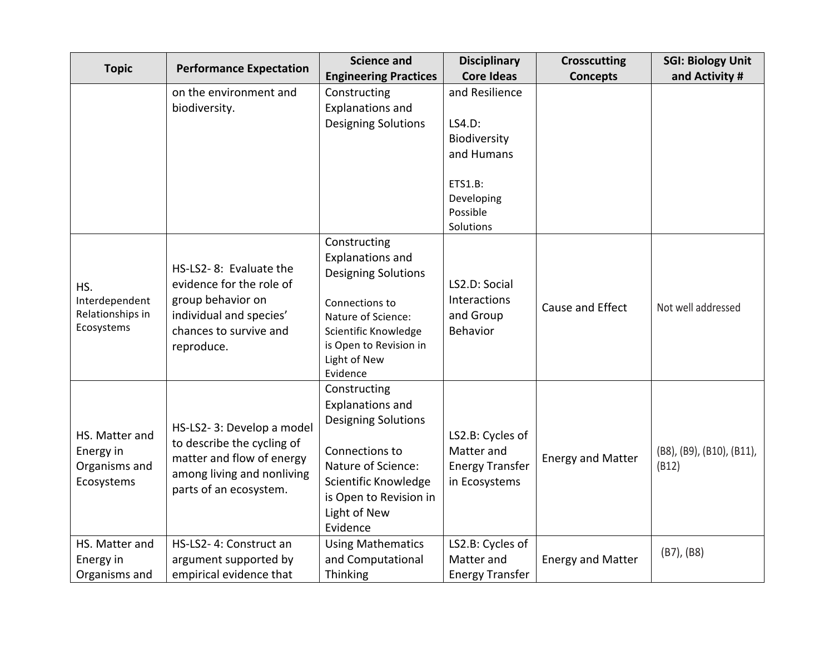| <b>Topic</b>                                               | <b>Performance Expectation</b>                                                                                                               | <b>Science and</b>                                                                                                                                                                          | <b>Disciplinary</b>                                                       | <b>Crosscutting</b>      | <b>SGI: Biology Unit</b>           |
|------------------------------------------------------------|----------------------------------------------------------------------------------------------------------------------------------------------|---------------------------------------------------------------------------------------------------------------------------------------------------------------------------------------------|---------------------------------------------------------------------------|--------------------------|------------------------------------|
|                                                            |                                                                                                                                              | <b>Engineering Practices</b>                                                                                                                                                                | <b>Core Ideas</b>                                                         | <b>Concepts</b>          | and Activity #                     |
|                                                            | on the environment and                                                                                                                       | Constructing                                                                                                                                                                                | and Resilience                                                            |                          |                                    |
|                                                            | biodiversity.                                                                                                                                | <b>Explanations and</b>                                                                                                                                                                     |                                                                           |                          |                                    |
|                                                            |                                                                                                                                              | <b>Designing Solutions</b>                                                                                                                                                                  | LS4.D:                                                                    |                          |                                    |
|                                                            |                                                                                                                                              |                                                                                                                                                                                             | Biodiversity                                                              |                          |                                    |
|                                                            |                                                                                                                                              |                                                                                                                                                                                             | and Humans                                                                |                          |                                    |
|                                                            |                                                                                                                                              |                                                                                                                                                                                             | ETS1.B:<br>Developing<br>Possible<br>Solutions                            |                          |                                    |
| HS.<br>Interdependent<br>Relationships in<br>Ecosystems    | HS-LS2-8: Evaluate the<br>evidence for the role of<br>group behavior on<br>individual and species'<br>chances to survive and<br>reproduce.   | Constructing<br><b>Explanations and</b><br><b>Designing Solutions</b><br>Connections to<br>Nature of Science:<br>Scientific Knowledge<br>is Open to Revision in<br>Light of New<br>Evidence | LS2.D: Social<br>Interactions<br>and Group<br>Behavior                    | Cause and Effect         | Not well addressed                 |
| HS. Matter and<br>Energy in<br>Organisms and<br>Ecosystems | HS-LS2-3: Develop a model<br>to describe the cycling of<br>matter and flow of energy<br>among living and nonliving<br>parts of an ecosystem. | Constructing<br><b>Explanations and</b><br><b>Designing Solutions</b><br>Connections to<br>Nature of Science:<br>Scientific Knowledge<br>is Open to Revision in<br>Light of New<br>Evidence | LS2.B: Cycles of<br>Matter and<br><b>Energy Transfer</b><br>in Ecosystems | <b>Energy and Matter</b> | (B8), (B9), (B10), (B11),<br>(B12) |
| HS. Matter and                                             | HS-LS2- 4: Construct an                                                                                                                      | <b>Using Mathematics</b>                                                                                                                                                                    | LS2.B: Cycles of                                                          |                          |                                    |
| Energy in                                                  | argument supported by                                                                                                                        | and Computational                                                                                                                                                                           | Matter and                                                                | <b>Energy and Matter</b> | $(B7)$ , $(B8)$                    |
| Organisms and                                              | empirical evidence that                                                                                                                      | Thinking                                                                                                                                                                                    | <b>Energy Transfer</b>                                                    |                          |                                    |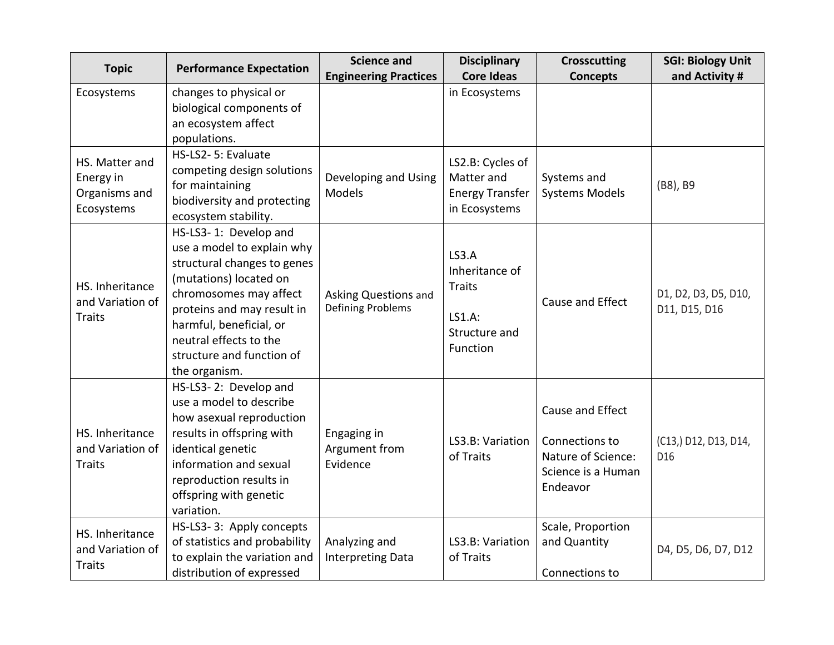| <b>Topic</b>                                               | <b>Performance Expectation</b>                                                                                                                                                                                                                                          | <b>Science and</b>                               | <b>Disciplinary</b>                                                                    | <b>Crosscutting</b>                                                                        | <b>SGI: Biology Unit</b>                 |
|------------------------------------------------------------|-------------------------------------------------------------------------------------------------------------------------------------------------------------------------------------------------------------------------------------------------------------------------|--------------------------------------------------|----------------------------------------------------------------------------------------|--------------------------------------------------------------------------------------------|------------------------------------------|
|                                                            |                                                                                                                                                                                                                                                                         | <b>Engineering Practices</b>                     | <b>Core Ideas</b>                                                                      | <b>Concepts</b>                                                                            | and Activity #                           |
| Ecosystems                                                 | changes to physical or<br>biological components of                                                                                                                                                                                                                      |                                                  | in Ecosystems                                                                          |                                                                                            |                                          |
|                                                            | an ecosystem affect                                                                                                                                                                                                                                                     |                                                  |                                                                                        |                                                                                            |                                          |
|                                                            | populations.                                                                                                                                                                                                                                                            |                                                  |                                                                                        |                                                                                            |                                          |
| HS. Matter and<br>Energy in<br>Organisms and<br>Ecosystems | HS-LS2- 5: Evaluate<br>competing design solutions<br>for maintaining<br>biodiversity and protecting<br>ecosystem stability.                                                                                                                                             | Developing and Using<br>Models                   | LS2.B: Cycles of<br>Matter and<br><b>Energy Transfer</b><br>in Ecosystems              | Systems and<br><b>Systems Models</b>                                                       | (B8), B9                                 |
| HS. Inheritance<br>and Variation of<br><b>Traits</b>       | HS-LS3-1: Develop and<br>use a model to explain why<br>structural changes to genes<br>(mutations) located on<br>chromosomes may affect<br>proteins and may result in<br>harmful, beneficial, or<br>neutral effects to the<br>structure and function of<br>the organism. | Asking Questions and<br><b>Defining Problems</b> | <b>LS3.A</b><br>Inheritance of<br><b>Traits</b><br>LS1.A:<br>Structure and<br>Function | Cause and Effect                                                                           | D1, D2, D3, D5, D10,<br>D11, D15, D16    |
| HS. Inheritance<br>and Variation of<br><b>Traits</b>       | HS-LS3-2: Develop and<br>use a model to describe<br>how asexual reproduction<br>results in offspring with<br>identical genetic<br>information and sexual<br>reproduction results in<br>offspring with genetic<br>variation.                                             | Engaging in<br>Argument from<br>Evidence         | LS3.B: Variation<br>of Traits                                                          | Cause and Effect<br>Connections to<br>Nature of Science:<br>Science is a Human<br>Endeavor | (C13,) D12, D13, D14,<br>D <sub>16</sub> |
| HS. Inheritance<br>and Variation of<br><b>Traits</b>       | HS-LS3-3: Apply concepts<br>of statistics and probability<br>to explain the variation and<br>distribution of expressed                                                                                                                                                  | Analyzing and<br><b>Interpreting Data</b>        | LS3.B: Variation<br>of Traits                                                          | Scale, Proportion<br>and Quantity<br>Connections to                                        | D4, D5, D6, D7, D12                      |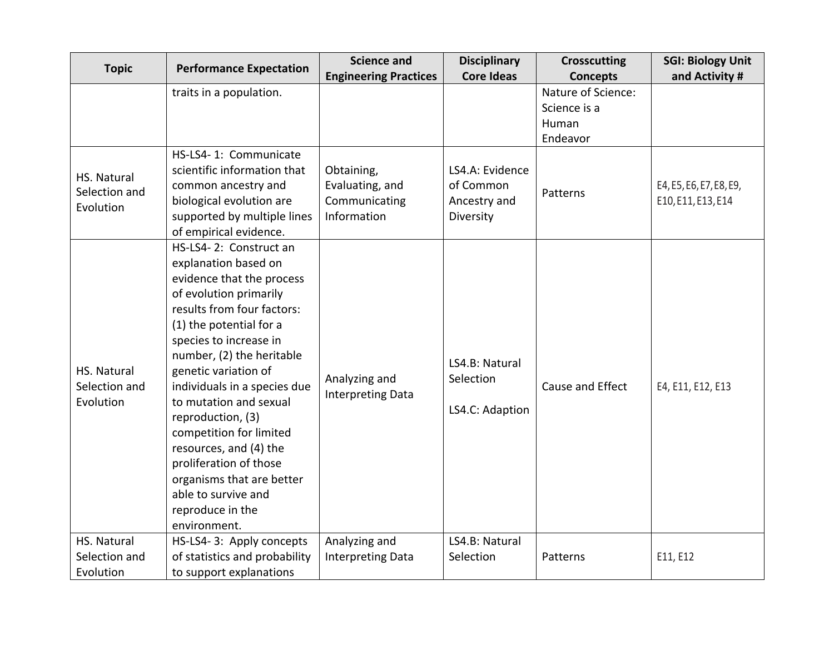| <b>Topic</b>                              | <b>Performance Expectation</b>                                                                                                                                                                                                                                                                                                                                                                                                                                                                      | <b>Science and</b>                                            | <b>Disciplinary</b>                                       | <b>Crosscutting</b>                                     | <b>SGI: Biology Unit</b>                      |
|-------------------------------------------|-----------------------------------------------------------------------------------------------------------------------------------------------------------------------------------------------------------------------------------------------------------------------------------------------------------------------------------------------------------------------------------------------------------------------------------------------------------------------------------------------------|---------------------------------------------------------------|-----------------------------------------------------------|---------------------------------------------------------|-----------------------------------------------|
|                                           |                                                                                                                                                                                                                                                                                                                                                                                                                                                                                                     | <b>Engineering Practices</b>                                  | <b>Core Ideas</b>                                         | <b>Concepts</b>                                         | and Activity #                                |
|                                           | traits in a population.                                                                                                                                                                                                                                                                                                                                                                                                                                                                             |                                                               |                                                           | Nature of Science:<br>Science is a<br>Human<br>Endeavor |                                               |
| HS. Natural<br>Selection and<br>Evolution | HS-LS4-1: Communicate<br>scientific information that<br>common ancestry and<br>biological evolution are<br>supported by multiple lines<br>of empirical evidence.                                                                                                                                                                                                                                                                                                                                    | Obtaining,<br>Evaluating, and<br>Communicating<br>Information | LS4.A: Evidence<br>of Common<br>Ancestry and<br>Diversity | Patterns                                                | E4, E5, E6, E7, E8, E9,<br>E10, E11, E13, E14 |
| HS. Natural<br>Selection and<br>Evolution | HS-LS4-2: Construct an<br>explanation based on<br>evidence that the process<br>of evolution primarily<br>results from four factors:<br>(1) the potential for a<br>species to increase in<br>number, (2) the heritable<br>genetic variation of<br>individuals in a species due<br>to mutation and sexual<br>reproduction, (3)<br>competition for limited<br>resources, and (4) the<br>proliferation of those<br>organisms that are better<br>able to survive and<br>reproduce in the<br>environment. | Analyzing and<br><b>Interpreting Data</b>                     | LS4.B: Natural<br>Selection<br>LS4.C: Adaption            | Cause and Effect                                        | E4, E11, E12, E13                             |
| HS. Natural<br>Selection and              | HS-LS4-3: Apply concepts<br>of statistics and probability                                                                                                                                                                                                                                                                                                                                                                                                                                           | Analyzing and<br><b>Interpreting Data</b>                     | LS4.B: Natural<br>Selection                               | Patterns                                                | E11, E12                                      |
| Evolution                                 | to support explanations                                                                                                                                                                                                                                                                                                                                                                                                                                                                             |                                                               |                                                           |                                                         |                                               |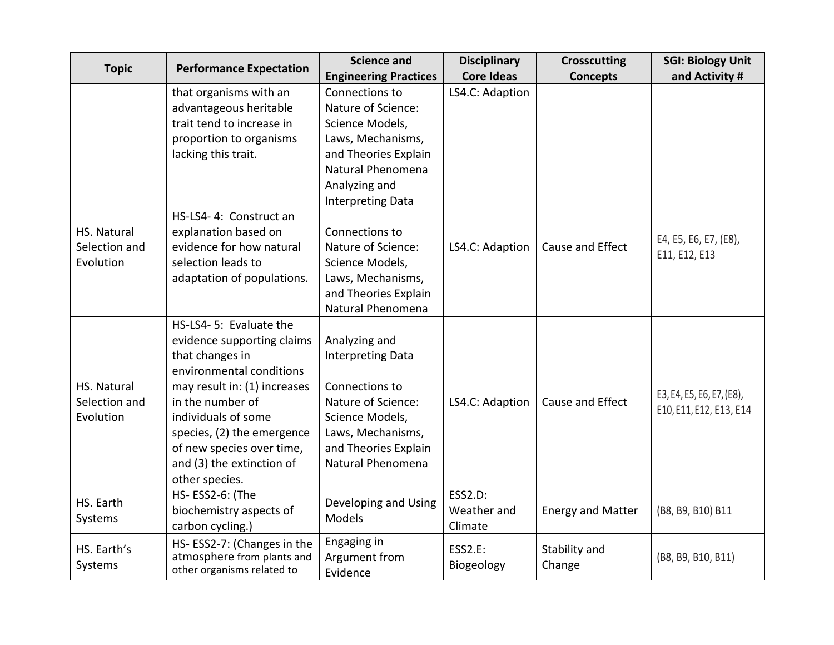| <b>Topic</b>         | <b>Performance Expectation</b>                           | <b>Science and</b>           | <b>Disciplinary</b> | <b>Crosscutting</b>      | <b>SGI: Biology Unit</b>  |
|----------------------|----------------------------------------------------------|------------------------------|---------------------|--------------------------|---------------------------|
|                      |                                                          | <b>Engineering Practices</b> | <b>Core Ideas</b>   | <b>Concepts</b>          | and Activity #            |
|                      | that organisms with an                                   | Connections to               | LS4.C: Adaption     |                          |                           |
|                      | advantageous heritable                                   | Nature of Science:           |                     |                          |                           |
|                      | trait tend to increase in                                | Science Models,              |                     |                          |                           |
|                      | proportion to organisms                                  | Laws, Mechanisms,            |                     |                          |                           |
|                      | lacking this trait.                                      | and Theories Explain         |                     |                          |                           |
|                      |                                                          | Natural Phenomena            |                     |                          |                           |
|                      |                                                          | Analyzing and                |                     |                          |                           |
|                      |                                                          | <b>Interpreting Data</b>     |                     |                          |                           |
|                      | HS-LS4- 4: Construct an                                  |                              |                     |                          |                           |
| HS. Natural          | explanation based on                                     | Connections to               |                     |                          | E4, E5, E6, E7, (E8),     |
| Selection and        | evidence for how natural                                 | Nature of Science:           | LS4.C: Adaption     | Cause and Effect         | E11, E12, E13             |
| Evolution            | selection leads to                                       | Science Models,              |                     |                          |                           |
|                      | adaptation of populations.                               | Laws, Mechanisms,            |                     |                          |                           |
|                      |                                                          | and Theories Explain         |                     |                          |                           |
|                      |                                                          | Natural Phenomena            |                     |                          |                           |
|                      | HS-LS4-5: Evaluate the                                   |                              |                     |                          |                           |
|                      | evidence supporting claims                               | Analyzing and                |                     |                          |                           |
|                      | that changes in                                          | <b>Interpreting Data</b>     |                     |                          |                           |
|                      | environmental conditions                                 |                              |                     |                          |                           |
| HS. Natural          | may result in: (1) increases                             | Connections to               |                     |                          | E3, E4, E5, E6, E7, (E8), |
| Selection and        | in the number of                                         | Nature of Science:           | LS4.C: Adaption     | Cause and Effect         | E10, E11, E12, E13, E14   |
| Evolution            | individuals of some                                      | Science Models,              |                     |                          |                           |
|                      | species, (2) the emergence                               | Laws, Mechanisms,            |                     |                          |                           |
|                      | of new species over time,                                | and Theories Explain         |                     |                          |                           |
|                      | and (3) the extinction of                                | Natural Phenomena            |                     |                          |                           |
|                      | other species.                                           |                              |                     |                          |                           |
| HS. Earth<br>Systems | HS-ESS2-6: (The                                          | Developing and Using         | <b>ESS2.D:</b>      |                          |                           |
|                      | biochemistry aspects of                                  | Models                       | Weather and         | <b>Energy and Matter</b> | (B8, B9, B10) B11         |
|                      | carbon cycling.)                                         |                              | Climate             |                          |                           |
| HS. Earth's          | HS-ESS2-7: (Changes in the                               | Engaging in                  | <b>ESS2.E:</b>      | Stability and            |                           |
| Systems              | atmosphere from plants and<br>other organisms related to | Argument from                | Biogeology          | Change                   | (B8, B9, B10, B11)        |
|                      |                                                          | Evidence                     |                     |                          |                           |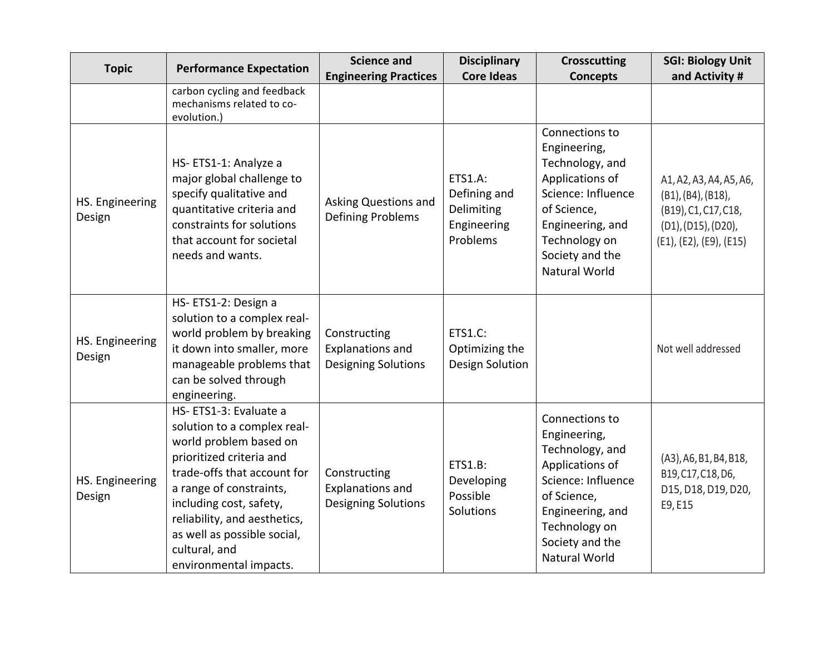| <b>Topic</b>              | <b>Performance Expectation</b>                                                                                                                                                                                                                                                                            | <b>Science and</b>                                                    | <b>Disciplinary</b>                                                     | <b>Crosscutting</b>                                                                                                                                                                       | <b>SGI: Biology Unit</b>                                                                                                |
|---------------------------|-----------------------------------------------------------------------------------------------------------------------------------------------------------------------------------------------------------------------------------------------------------------------------------------------------------|-----------------------------------------------------------------------|-------------------------------------------------------------------------|-------------------------------------------------------------------------------------------------------------------------------------------------------------------------------------------|-------------------------------------------------------------------------------------------------------------------------|
|                           |                                                                                                                                                                                                                                                                                                           | <b>Engineering Practices</b>                                          | <b>Core Ideas</b>                                                       | <b>Concepts</b>                                                                                                                                                                           | and Activity #                                                                                                          |
|                           | carbon cycling and feedback<br>mechanisms related to co-<br>evolution.)                                                                                                                                                                                                                                   |                                                                       |                                                                         |                                                                                                                                                                                           |                                                                                                                         |
| HS. Engineering<br>Design | HS-ETS1-1: Analyze a<br>major global challenge to<br>specify qualitative and<br>quantitative criteria and<br>constraints for solutions<br>that account for societal<br>needs and wants.                                                                                                                   | Asking Questions and<br>Defining Problems                             | <b>ETS1.A:</b><br>Defining and<br>Delimiting<br>Engineering<br>Problems | Connections to<br>Engineering,<br>Technology, and<br>Applications of<br>Science: Influence<br>of Science,<br>Engineering, and<br>Technology on<br>Society and the<br><b>Natural World</b> | A1, A2, A3, A4, A5, A6,<br>(B1), (B4), (B18),<br>(B19), C1, C17, C18,<br>(D1), (D15), (D20),<br>(E1), (E2), (E9), (E15) |
| HS. Engineering<br>Design | HS-ETS1-2: Design a<br>solution to a complex real-<br>world problem by breaking<br>it down into smaller, more<br>manageable problems that<br>can be solved through<br>engineering.                                                                                                                        | Constructing<br><b>Explanations and</b><br><b>Designing Solutions</b> | <b>ETS1.C:</b><br>Optimizing the<br>Design Solution                     |                                                                                                                                                                                           | Not well addressed                                                                                                      |
| HS. Engineering<br>Design | HS-ETS1-3: Evaluate a<br>solution to a complex real-<br>world problem based on<br>prioritized criteria and<br>trade-offs that account for<br>a range of constraints,<br>including cost, safety,<br>reliability, and aesthetics,<br>as well as possible social,<br>cultural, and<br>environmental impacts. | Constructing<br><b>Explanations and</b><br><b>Designing Solutions</b> | <b>ETS1.B:</b><br>Developing<br>Possible<br>Solutions                   | Connections to<br>Engineering,<br>Technology, and<br>Applications of<br>Science: Influence<br>of Science,<br>Engineering, and<br>Technology on<br>Society and the<br><b>Natural World</b> | (A3), A6, B1, B4, B18,<br>B19, C17, C18, D6,<br>D15, D18, D19, D20,<br>E9, E15                                          |